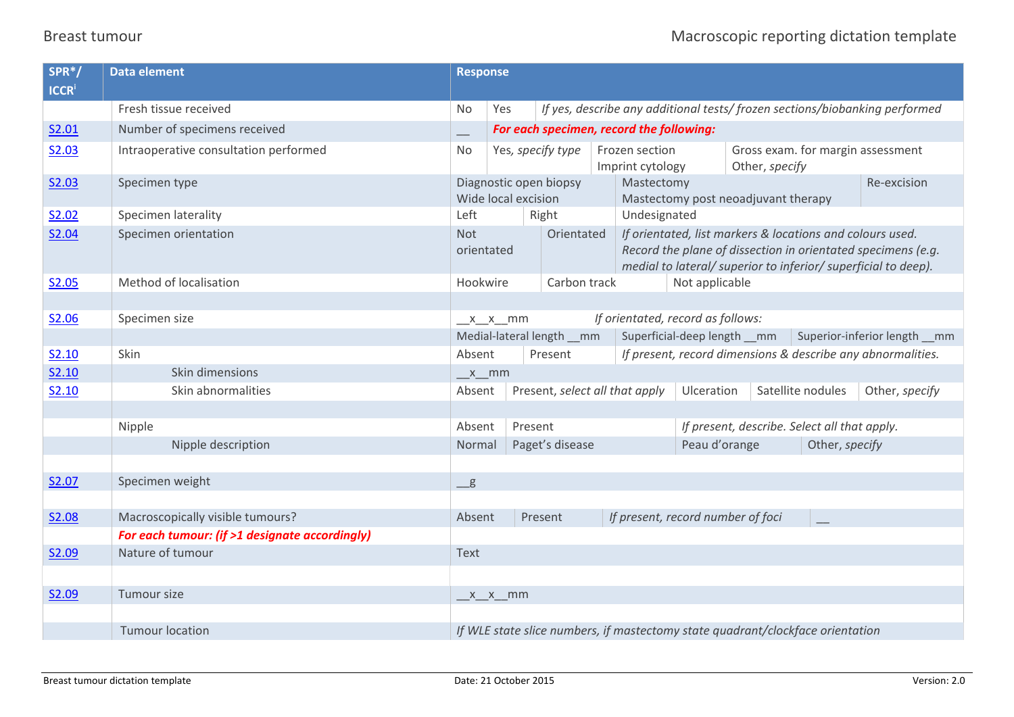## Breast tumour **Macroscopic reporting dictation template** Macroscopic reporting dictation template

| SPR*/<br><b>ICCR</b> | <b>Data element</b>                            | <b>Response</b>                                                                |                                                        |                   |                                    |                                                                                                                                                                                             |                                 |  |                                                                            |  |
|----------------------|------------------------------------------------|--------------------------------------------------------------------------------|--------------------------------------------------------|-------------------|------------------------------------|---------------------------------------------------------------------------------------------------------------------------------------------------------------------------------------------|---------------------------------|--|----------------------------------------------------------------------------|--|
|                      | Fresh tissue received                          | No.                                                                            | Yes                                                    |                   |                                    |                                                                                                                                                                                             |                                 |  | If yes, describe any additional tests/frozen sections/biobanking performed |  |
| S2.01                | Number of specimens received                   |                                                                                | For each specimen, record the following:               |                   |                                    |                                                                                                                                                                                             |                                 |  |                                                                            |  |
| S2.03                | Intraoperative consultation performed          | <b>No</b>                                                                      |                                                        | Yes, specify type | Frozen section<br>Imprint cytology | Gross exam. for margin assessment<br>Other, specify                                                                                                                                         |                                 |  |                                                                            |  |
| S2.03                | Specimen type                                  |                                                                                | Diagnostic open biopsy<br>Wide local excision          |                   |                                    | Re-excision<br>Mastectomy<br>Mastectomy post neoadjuvant therapy                                                                                                                            |                                 |  |                                                                            |  |
| S2.02                | Specimen laterality                            | Left                                                                           |                                                        | Right             |                                    | Undesignated                                                                                                                                                                                |                                 |  |                                                                            |  |
| S2.04                | Specimen orientation                           | <b>Not</b><br>orientated                                                       |                                                        | Orientated        |                                    | If orientated, list markers & locations and colours used.<br>Record the plane of dissection in orientated specimens (e.g.<br>medial to lateral/ superior to inferior/ superficial to deep). |                                 |  |                                                                            |  |
| S2.05                | Method of localisation                         | Hookwire                                                                       |                                                        | Carbon track      |                                    | Not applicable                                                                                                                                                                              |                                 |  |                                                                            |  |
|                      |                                                |                                                                                |                                                        |                   |                                    |                                                                                                                                                                                             |                                 |  |                                                                            |  |
| S2.06                | Specimen size                                  |                                                                                | If orientated, record as follows:<br>$x_2x_2$ mm       |                   |                                    |                                                                                                                                                                                             |                                 |  |                                                                            |  |
|                      |                                                |                                                                                | Medial-lateral length __ mm                            |                   |                                    | Superficial-deep length __ mm<br>Superior-inferior length __ mm                                                                                                                             |                                 |  |                                                                            |  |
| S2.10                | Skin                                           | Absent                                                                         |                                                        | Present           |                                    | If present, record dimensions & describe any abnormalities.                                                                                                                                 |                                 |  |                                                                            |  |
| S2.10                | Skin dimensions                                | x mm                                                                           |                                                        |                   |                                    |                                                                                                                                                                                             |                                 |  |                                                                            |  |
| S2.10                | Skin abnormalities                             | Absent                                                                         |                                                        |                   | Present, select all that apply     |                                                                                                                                                                                             | Satellite nodules<br>Ulceration |  | Other, specify                                                             |  |
|                      |                                                |                                                                                |                                                        |                   |                                    |                                                                                                                                                                                             |                                 |  |                                                                            |  |
|                      | Nipple                                         | Absent                                                                         |                                                        | Present           |                                    | If present, describe. Select all that apply.                                                                                                                                                |                                 |  |                                                                            |  |
|                      | Nipple description                             | Normal                                                                         |                                                        | Paget's disease   |                                    | Peau d'orange<br>Other, specify                                                                                                                                                             |                                 |  |                                                                            |  |
|                      |                                                |                                                                                |                                                        |                   |                                    |                                                                                                                                                                                             |                                 |  |                                                                            |  |
| S2.07                | Specimen weight                                | g                                                                              |                                                        |                   |                                    |                                                                                                                                                                                             |                                 |  |                                                                            |  |
|                      |                                                |                                                                                |                                                        |                   |                                    |                                                                                                                                                                                             |                                 |  |                                                                            |  |
| S2.08                | Macroscopically visible tumours?               |                                                                                | Present<br>If present, record number of foci<br>Absent |                   |                                    |                                                                                                                                                                                             |                                 |  |                                                                            |  |
|                      | For each tumour: (if >1 designate accordingly) |                                                                                |                                                        |                   |                                    |                                                                                                                                                                                             |                                 |  |                                                                            |  |
| S2.09                | Nature of tumour                               | Text                                                                           |                                                        |                   |                                    |                                                                                                                                                                                             |                                 |  |                                                                            |  |
|                      |                                                |                                                                                |                                                        |                   |                                    |                                                                                                                                                                                             |                                 |  |                                                                            |  |
| S2.09                | Tumour size                                    | $x_2 x_2$ mm                                                                   |                                                        |                   |                                    |                                                                                                                                                                                             |                                 |  |                                                                            |  |
|                      |                                                |                                                                                |                                                        |                   |                                    |                                                                                                                                                                                             |                                 |  |                                                                            |  |
|                      | <b>Tumour location</b>                         | If WLE state slice numbers, if mastectomy state quadrant/clockface orientation |                                                        |                   |                                    |                                                                                                                                                                                             |                                 |  |                                                                            |  |